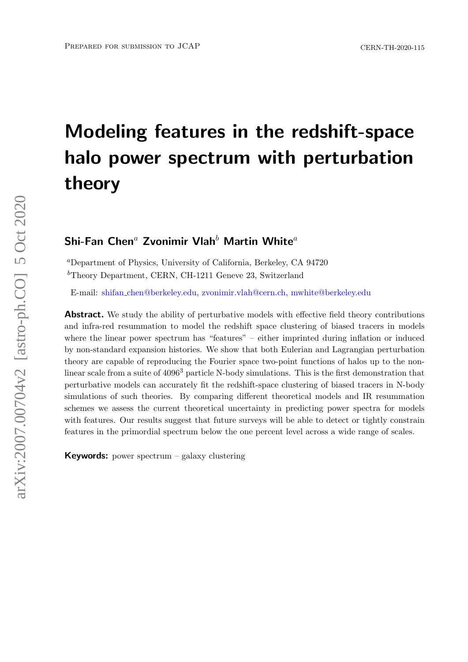# Modeling features in the redshift-space halo power spectrum with perturbation theory

# Shi-Fan Chen<sup>a</sup> Zvonimir Vlah<sup>b</sup> Martin White<sup>a</sup>

<sup>a</sup>Department of Physics, University of California, Berkeley, CA 94720  ${}^b$ Theory Department, CERN, CH-1211 Geneve 23, Switzerland

E-mail: shifan [chen@berkeley.edu,](mailto:shifan_chen@berkeley.edu) [zvonimir.vlah@cern.ch,](mailto:zvonimir.vlah@cern.ch) [mwhite@berkeley.edu](mailto:mwhite@berkeley.edu)

**Abstract.** We study the ability of perturbative models with effective field theory contributions and infra-red resummation to model the redshift space clustering of biased tracers in models where the linear power spectrum has "features" – either imprinted during inflation or induced by non-standard expansion histories. We show that both Eulerian and Lagrangian perturbation theory are capable of reproducing the Fourier space two-point functions of halos up to the nonlinear scale from a suite of  $4096^3$  particle N-body simulations. This is the first demonstration that perturbative models can accurately fit the redshift-space clustering of biased tracers in N-body simulations of such theories. By comparing different theoretical models and IR resummation schemes we assess the current theoretical uncertainty in predicting power spectra for models with features. Our results suggest that future surveys will be able to detect or tightly constrain features in the primordial spectrum below the one percent level across a wide range of scales.

**Keywords:** power spectrum  $-$  galaxy clustering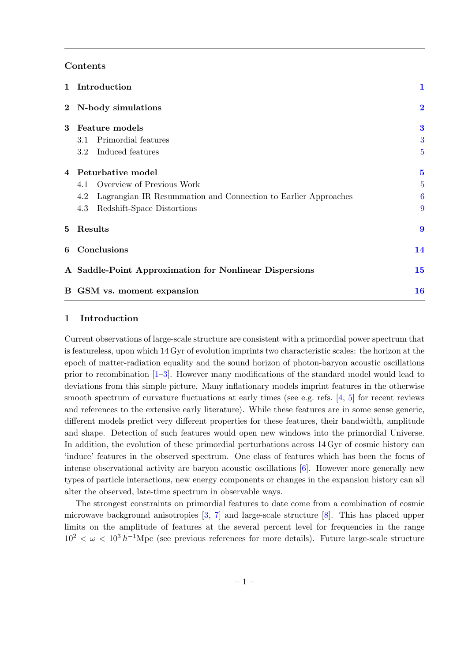#### **Contents**

|              | 1 Introduction                                                        | 1              |
|--------------|-----------------------------------------------------------------------|----------------|
| $\mathbf{2}$ | N-body simulations                                                    | $\overline{2}$ |
| 3            | <b>Feature models</b>                                                 | 3              |
|              | Primordial features<br>3.1                                            | 3              |
|              | Induced features<br>$3.2\,$                                           | $\overline{5}$ |
|              | 4 Peturbative model                                                   | $\mathbf{5}$   |
|              | Overview of Previous Work<br>4.1                                      | $\overline{5}$ |
|              | Lagrangian IR Resummation and Connection to Earlier Approaches<br>4.2 | 6              |
|              | Redshift-Space Distortions<br>4.3                                     | 9              |
| 5            | <b>Results</b>                                                        | 9              |
| 6            | Conclusions                                                           | 14             |
|              | A Saddle-Point Approximation for Nonlinear Dispersions                | 15             |
|              | B GSM vs. moment expansion                                            | 16             |

# <span id="page-1-0"></span>1 Introduction

Current observations of large-scale structure are consistent with a primordial power spectrum that is featureless, upon which 14 Gyr of evolution imprints two characteristic scales: the horizon at the epoch of matter-radiation equality and the sound horizon of photon-baryon acoustic oscillations prior to recombination [\[1–](#page-17-0)[3\]](#page-17-1). However many modifications of the standard model would lead to deviations from this simple picture. Many inflationary models imprint features in the otherwise smooth spectrum of curvature fluctuations at early times (see e.g. refs. [\[4,](#page-17-2) [5\]](#page-18-0) for recent reviews and references to the extensive early literature). While these features are in some sense generic, different models predict very different properties for these features, their bandwidth, amplitude and shape. Detection of such features would open new windows into the primordial Universe. In addition, the evolution of these primordial perturbations across 14 Gyr of cosmic history can 'induce' features in the observed spectrum. One class of features which has been the focus of intense observational activity are baryon acoustic oscillations [\[6\]](#page-18-1). However more generally new types of particle interactions, new energy components or changes in the expansion history can all alter the observed, late-time spectrum in observable ways.

The strongest constraints on primordial features to date come from a combination of cosmic microwave background anisotropies [\[3,](#page-17-1) [7\]](#page-18-2) and large-scale structure [\[8\]](#page-18-3). This has placed upper limits on the amplitude of features at the several percent level for frequencies in the range  $10^2 < \omega < 10^3 h^{-1}$ Mpc (see previous references for more details). Future large-scale structure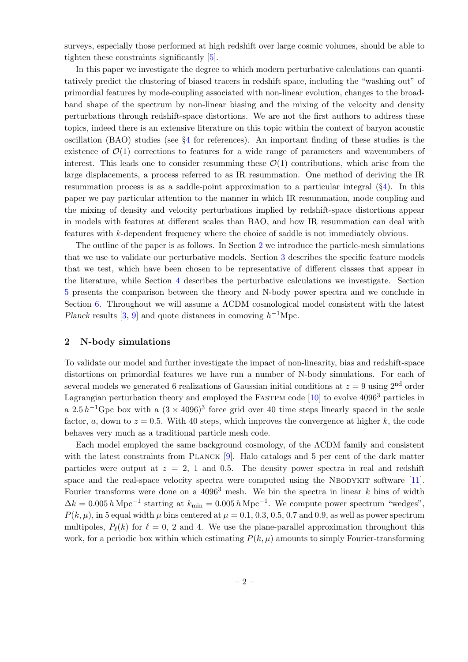surveys, especially those performed at high redshift over large cosmic volumes, should be able to tighten these constraints significantly [\[5\]](#page-18-0).

In this paper we investigate the degree to which modern perturbative calculations can quantitatively predict the clustering of biased tracers in redshift space, including the "washing out" of primordial features by mode-coupling associated with non-linear evolution, changes to the broadband shape of the spectrum by non-linear biasing and the mixing of the velocity and density perturbations through redshift-space distortions. We are not the first authors to address these topics, indeed there is an extensive literature on this topic within the context of baryon acoustic oscillation (BAO) studies (see  $\S4$  $\S4$  for references). An important finding of these studies is the existence of  $\mathcal{O}(1)$  corrections to features for a wide range of parameters and wavenumbers of interest. This leads one to consider resumming these  $\mathcal{O}(1)$  contributions, which arise from the large displacements, a process referred to as IR resummation. One method of deriving the IR resummation process is as a saddle-point approximation to a particular integral  $(\S_4)$  $(\S_4)$ . In this paper we pay particular attention to the manner in which IR resummation, mode coupling and the mixing of density and velocity perturbations implied by redshift-space distortions appear in models with features at different scales than BAO, and how IR resummation can deal with features with k-dependent frequency where the choice of saddle is not immediately obvious.

The outline of the paper is as follows. In Section [2](#page-2-0) we introduce the particle-mesh simulations that we use to validate our perturbative models. Section [3](#page-3-0) describes the specific feature models that we test, which have been chosen to be representative of different classes that appear in the literature, while Section [4](#page-5-1) describes the perturbative calculations we investigate. Section [5](#page-9-1) presents the comparison between the theory and N-body power spectra and we conclude in Section [6.](#page-14-0) Throughout we will assume a ΛCDM cosmological model consistent with the latest Planck results [\[3,](#page-17-1) [9\]](#page-18-4) and quote distances in comoving  $h^{-1}$ Mpc.

#### <span id="page-2-0"></span>2 N-body simulations

To validate our model and further investigate the impact of non-linearity, bias and redshift-space distortions on primordial features we have run a number of N-body simulations. For each of several models we generated 6 realizations of Gaussian initial conditions at  $z = 9$  using  $2<sup>nd</sup>$  order Lagrangian perturbation theory and employed the FASTPM code [\[10\]](#page-19-0) to evolve 4096<sup>3</sup> particles in a 2.5 h<sup>-1</sup>Gpc box with a  $(3 \times 4096)^3$  force grid over 40 time steps linearly spaced in the scale factor, a, down to  $z = 0.5$ . With 40 steps, which improves the convergence at higher k, the code behaves very much as a traditional particle mesh code.

Each model employed the same background cosmology, of the ΛCDM family and consistent with the latest constraints from PLANCK  $[9]$ . Halo catalogs and 5 per cent of the dark matter particles were output at  $z = 2$ , 1 and 0.5. The density power spectra in real and redshift space and the real-space velocity spectra were computed using the NBODYKIT software [\[11\]](#page-19-1). Fourier transforms were done on a  $4096<sup>3</sup>$  mesh. We bin the spectra in linear k bins of width  $\Delta k = 0.005 h \text{ Mpc}^{-1}$  starting at  $k_{\text{min}} = 0.005 h \text{ Mpc}^{-1}$ . We compute power spectrum "wedges",  $P(k,\mu)$ , in 5 equal width  $\mu$  bins centered at  $\mu = 0.1, 0.3, 0.5, 0.7$  and 0.9, as well as power spectrum multipoles,  $P_{\ell}(k)$  for  $\ell = 0, 2$  and 4. We use the plane-parallel approximation throughout this work, for a periodic box within which estimating  $P(k, \mu)$  amounts to simply Fourier-transforming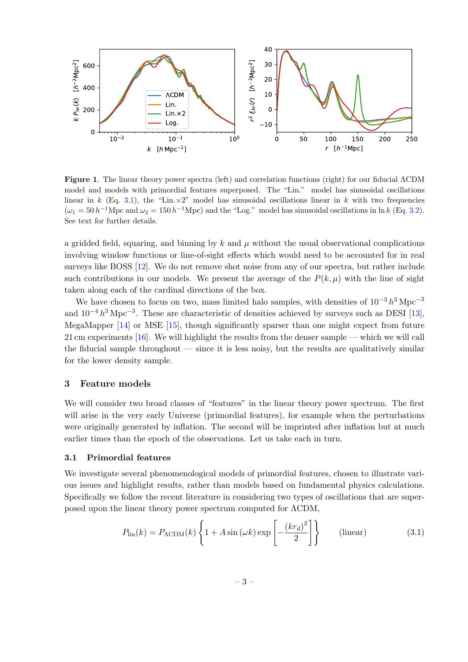

<span id="page-3-3"></span>Figure 1. The linear theory power spectra (left) and correlation functions (right) for our fiducial ΛCDM model and models with primordial features superposed. The "Lin." model has sinusoidal oscillations linear in k (Eq. [3.1\)](#page-3-2), the "Lin. $\times$ 2" model has sinusoidal oscillations linear in k with two frequencies  $(\omega_1 = 50 h^{-1}$ Mpc and  $\omega_2 = 150 h^{-1}$ Mpc) and the "Log." model has sinusoidal oscillations in ln k (Eq. [3.2\)](#page-4-0). See text for further details.

a gridded field, squaring, and binning by k and  $\mu$  without the usual observational complications involving window functions or line-of-sight effects which would need to be accounted for in real surveys like BOSS [\[12\]](#page-19-2). We do not remove shot noise from any of our spectra, but rather include such contributions in our models. We present the average of the  $P(k,\mu)$  with the line of sight taken along each of the cardinal directions of the box.

We have chosen to focus on two, mass limited halo samples, with densities of  $10^{-3} h^3 \text{ Mpc}^{-3}$ and  $10^{-4} h^3 \text{ Mpc}^{-3}$ . These are characteristic of densities achieved by surveys such as DESI [\[13\]](#page-19-3), MegaMapper [\[14\]](#page-19-4) or MSE [\[15\]](#page-19-5), though significantly sparser than one might expect from future 21 cm experiments [\[16\]](#page-20-0). We will highlight the results from the denser sample — which we will call the fiducial sample throughout — since it is less noisy, but the results are qualitatively similar for the lower density sample.

# <span id="page-3-0"></span>3 Feature models

We will consider two broad classes of "features" in the linear theory power spectrum. The first will arise in the very early Universe (primordial features), for example when the perturbations were originally generated by inflation. The second will be imprinted after inflation but at much earlier times than the epoch of the observations. Let us take each in turn.

#### <span id="page-3-1"></span>3.1 Primordial features

We investigate several phenomenological models of primordial features, chosen to illustrate various issues and highlight results, rather than models based on fundamental physics calculations. Specifically we follow the recent literature in considering two types of oscillations that are superposed upon the linear theory power spectrum computed for ΛCDM,

<span id="page-3-2"></span>
$$
P_{\text{lin}}(k) = P_{\Lambda \text{CDM}}(k) \left\{ 1 + A \sin(\omega k) \exp\left[ -\frac{(kr_d)^2}{2} \right] \right\} \qquad \text{(linear)} \tag{3.1}
$$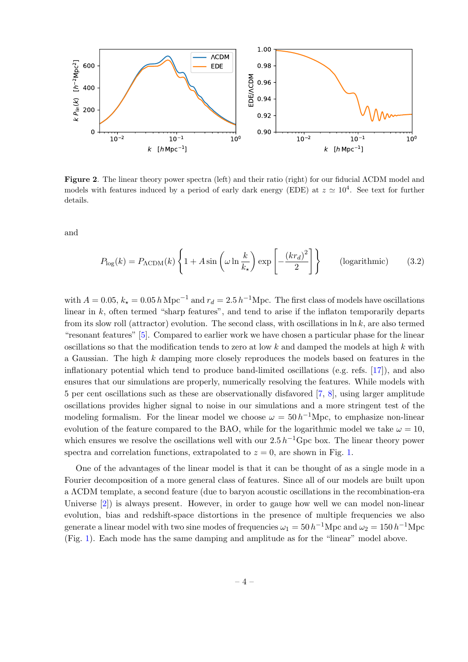

<span id="page-4-1"></span>Figure 2. The linear theory power spectra (left) and their ratio (right) for our fiducial ΛCDM model and models with features induced by a period of early dark energy (EDE) at  $z \approx 10^4$ . See text for further details.

and

<span id="page-4-0"></span>
$$
P_{\log}(k) = P_{\Lambda \text{CDM}}(k) \left\{ 1 + A \sin\left(\omega \ln \frac{k}{k_{\star}}\right) \exp\left[-\frac{(kr_d)^2}{2}\right] \right\} \qquad \text{(logarithmic)} \tag{3.2}
$$

with  $A = 0.05$ ,  $k_{\star} = 0.05 h \text{ Mpc}^{-1}$  and  $r_d = 2.5 h^{-1} \text{Mpc}$ . The first class of models have oscillations linear in  $k$ , often termed "sharp features", and tend to arise if the inflaton temporarily departs from its slow roll (attractor) evolution. The second class, with oscillations in  $\ln k$ , are also termed "resonant features" [\[5\]](#page-18-0). Compared to earlier work we have chosen a particular phase for the linear oscillations so that the modification tends to zero at low  $k$  and damped the models at high  $k$  with a Gaussian. The high k damping more closely reproduces the models based on features in the inflationary potential which tend to produce band-limited oscillations (e.g. refs. [\[17\]](#page-20-1)), and also ensures that our simulations are properly, numerically resolving the features. While models with 5 per cent oscillations such as these are observationally disfavored [\[7,](#page-18-2) [8\]](#page-18-3), using larger amplitude oscillations provides higher signal to noise in our simulations and a more stringent test of the modeling formalism. For the linear model we choose  $\omega = 50 h^{-1}$ Mpc, to emphasize non-linear evolution of the feature compared to the BAO, while for the logarithmic model we take  $\omega = 10$ , which ensures we resolve the oscillations well with our  $2.5 h^{-1}$ Gpc box. The linear theory power spectra and correlation functions, extrapolated to  $z = 0$ , are shown in Fig. [1.](#page-3-3)

One of the advantages of the linear model is that it can be thought of as a single mode in a Fourier decomposition of a more general class of features. Since all of our models are built upon a ΛCDM template, a second feature (due to baryon acoustic oscillations in the recombination-era Universe [\[2\]](#page-17-3)) is always present. However, in order to gauge how well we can model non-linear evolution, bias and redshift-space distortions in the presence of multiple frequencies we also generate a linear model with two sine modes of frequencies  $\omega_1 = 50 h^{-1} \text{Mpc}$  and  $\omega_2 = 150 h^{-1} \text{Mpc}$ (Fig. [1\)](#page-3-3). Each mode has the same damping and amplitude as for the "linear" model above.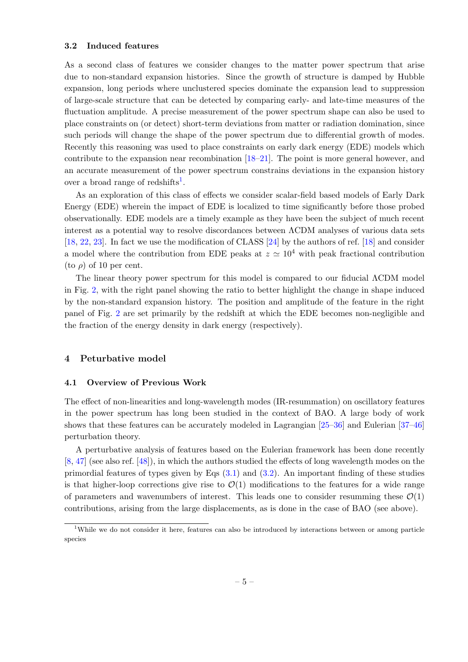# <span id="page-5-0"></span>3.2 Induced features

As a second class of features we consider changes to the matter power spectrum that arise due to non-standard expansion histories. Since the growth of structure is damped by Hubble expansion, long periods where unclustered species dominate the expansion lead to suppression of large-scale structure that can be detected by comparing early- and late-time measures of the fluctuation amplitude. A precise measurement of the power spectrum shape can also be used to place constraints on (or detect) short-term deviations from matter or radiation domination, since such periods will change the shape of the power spectrum due to differential growth of modes. Recently this reasoning was used to place constraints on early dark energy (EDE) models which contribute to the expansion near recombination  $[18-21]$  $[18-21]$ . The point is more general however, and an accurate measurement of the power spectrum constrains deviations in the expansion history over a broad range of redshifts<sup>[1](#page-5-3)</sup>.

As an exploration of this class of effects we consider scalar-field based models of Early Dark Energy (EDE) wherein the impact of EDE is localized to time significantly before those probed observationally. EDE models are a timely example as they have been the subject of much recent interest as a potential way to resolve discordances between ΛCDM analyses of various data sets [\[18,](#page-20-2) [22,](#page-21-0) [23\]](#page-21-1). In fact we use the modification of CLASS [\[24\]](#page-21-2) by the authors of ref. [\[18\]](#page-20-2) and consider a model where the contribution from EDE peaks at  $z \approx 10^4$  with peak fractional contribution (to  $\rho$ ) of 10 per cent.

The linear theory power spectrum for this model is compared to our fiducial ΛCDM model in Fig. [2,](#page-4-1) with the right panel showing the ratio to better highlight the change in shape induced by the non-standard expansion history. The position and amplitude of the feature in the right panel of Fig. [2](#page-4-1) are set primarily by the redshift at which the EDE becomes non-negligible and the fraction of the energy density in dark energy (respectively).

#### <span id="page-5-1"></span>4 Peturbative model

#### <span id="page-5-2"></span>4.1 Overview of Previous Work

The effect of non-linearities and long-wavelength modes (IR-resummation) on oscillatory features in the power spectrum has long been studied in the context of BAO. A large body of work shows that these features can be accurately modeled in Lagrangian [\[25–](#page-21-3)[36\]](#page-21-4) and Eulerian [\[37–](#page-21-5)[46\]](#page-22-0) perturbation theory.

A perturbative analysis of features based on the Eulerian framework has been done recently [\[8,](#page-18-3) [47\]](#page-22-1) (see also ref. [\[48\]](#page-22-2)), in which the authors studied the effects of long wavelength modes on the primordial features of types given by Eqs  $(3.1)$  and  $(3.2)$ . An important finding of these studies is that higher-loop corrections give rise to  $\mathcal{O}(1)$  modifications to the features for a wide range of parameters and wavenumbers of interest. This leads one to consider resumming these  $\mathcal{O}(1)$ contributions, arising from the large displacements, as is done in the case of BAO (see above).

<span id="page-5-3"></span><sup>&</sup>lt;sup>1</sup>While we do not consider it here, features can also be introduced by interactions between or among particle species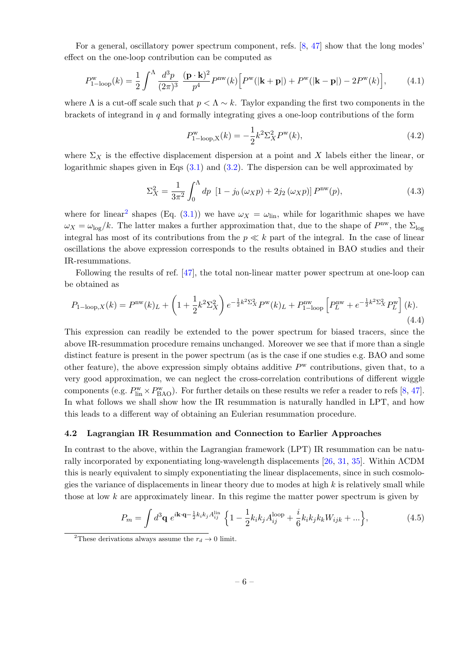For a general, oscillatory power spectrum component, refs. [\[8,](#page-18-3) [47\]](#page-22-1) show that the long modes' effect on the one-loop contribution can be computed as

$$
P_{1-\text{loop}}^{\text{w}}(k) = \frac{1}{2} \int^{\Lambda} \frac{d^3 p}{(2\pi)^3} \frac{(\mathbf{p} \cdot \mathbf{k})^2}{p^4} P^{\text{nw}}(k) \Big[ P^{\text{w}}(|\mathbf{k} + \mathbf{p}|) + P^{\text{w}}(|\mathbf{k} - \mathbf{p}|) - 2P^{\text{w}}(k) \Big],\tag{4.1}
$$

where  $\Lambda$  is a cut-off scale such that  $p < \Lambda \sim k$ . Taylor expanding the first two components in the brackets of integrand in q and formally integrating gives a one-loop contributions of the form

$$
P_{1-\text{loop},X}^{\text{w}}(k) = -\frac{1}{2}k^2 \Sigma_X^2 P^{\text{w}}(k),\tag{4.2}
$$

where  $\Sigma_X$  is the effective displacement dispersion at a point and X labels either the linear, or logarithmic shapes given in Eqs [\(3.1\)](#page-3-2) and [\(3.2\)](#page-4-0). The dispersion can be well approximated by

<span id="page-6-2"></span>
$$
\Sigma_X^2 = \frac{1}{3\pi^2} \int_0^\Lambda dp \, \left[1 - j_0 \left(\omega_X p\right) + 2j_2 \left(\omega_X p\right)\right] P^{\text{nw}}(p),\tag{4.3}
$$

where for linear<sup>[2](#page-6-1)</sup> shapes (Eq. [\(3.1\)](#page-3-2)) we have  $\omega_X = \omega_{\text{lin}}$ , while for logarithmic shapes we have  $\omega_X = \omega_{\text{log}}/k$ . The latter makes a further approximation that, due to the shape of  $P^{\text{nw}}$ , the  $\Sigma_{\text{log}}$ integral has most of its contributions from the  $p \ll k$  part of the integral. In the case of linear oscillations the above expression corresponds to the results obtained in BAO studies and their IR-resummations.

Following the results of ref. [\[47\]](#page-22-1), the total non-linear matter power spectrum at one-loop can be obtained as

<span id="page-6-3"></span>
$$
P_{1-\text{loop},X}(k) = P^{\text{nw}}(k)_{L} + \left(1 + \frac{1}{2}k^{2}\Sigma_{X}^{2}\right)e^{-\frac{1}{2}k^{2}\Sigma_{X}^{2}}P^{\text{w}}(k)_{L} + P_{1-\text{loop}}^{\text{nw}}\left[P_{L}^{\text{nw}} + e^{-\frac{1}{2}k^{2}\Sigma_{X}^{2}}P_{L}^{\text{w}}\right](k). \tag{4.4}
$$

This expression can readily be extended to the power spectrum for biased tracers, since the above IR-resummation procedure remains unchanged. Moreover we see that if more than a single distinct feature is present in the power spectrum (as is the case if one studies e.g. BAO and some other feature), the above expression simply obtains additive  $P^{\mathbf{w}}$  contributions, given that, to a very good approximation, we can neglect the cross-correlation contributions of different wiggle components (e.g.  $P_{\text{lin}}^{\text{w}} \times P_{\text{BAO}}^{\text{w}}$ ). For further details on these results we refer a reader to refs [\[8,](#page-18-3) [47\]](#page-22-1). In what follows we shall show how the IR resummation is naturally handled in LPT, and how this leads to a different way of obtaining an Eulerian resummation procedure.

# <span id="page-6-0"></span>4.2 Lagrangian IR Resummation and Connection to Earlier Approaches

In contrast to the above, within the Lagrangian framework (LPT) IR resummation can be naturally incorporated by exponentiating long-wavelength displacements [\[26,](#page-21-6) [31,](#page-21-7) [35\]](#page-21-8). Within ΛCDM this is nearly equivalent to simply exponentiating the linear displacements, since in such cosmologies the variance of displacements in linear theory due to modes at high  $k$  is relatively small while those at low  $k$  are approximately linear. In this regime the matter power spectrum is given by

$$
P_m = \int d^3 \mathbf{q} \ e^{i\mathbf{k} \cdot \mathbf{q} - \frac{1}{2}k_i k_j A_{ij}^{\text{lin}}} \ \left\{ 1 - \frac{1}{2} k_i k_j A_{ij}^{\text{loop}} + \frac{i}{6} k_i k_j k_k W_{ijk} + \ldots \right\},\tag{4.5}
$$

<span id="page-6-1"></span><sup>&</sup>lt;sup>2</sup>These derivations always assume the  $r_d \rightarrow 0$  limit.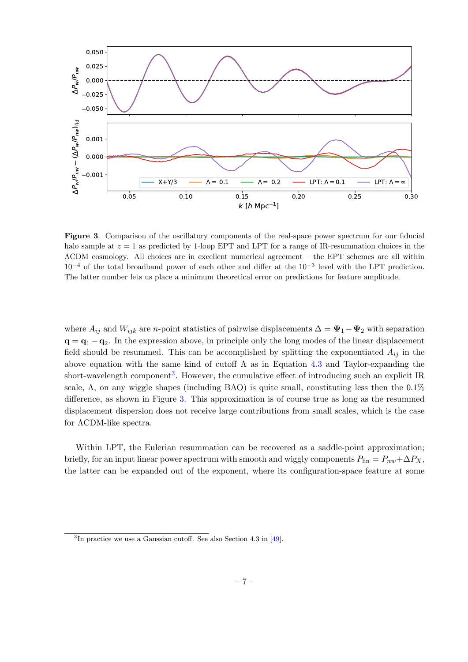

<span id="page-7-1"></span>Figure 3. Comparison of the oscillatory components of the real-space power spectrum for our fiducial halo sample at  $z = 1$  as predicted by 1-loop EPT and LPT for a range of IR-resummation choices in the ΛCDM cosmology. All choices are in excellent numerical agreement – the EPT schemes are all within  $10^{-4}$  of the total broadband power of each other and differ at the  $10^{-3}$  level with the LPT prediction. The latter number lets us place a minimum theoretical error on predictions for feature amplitude.

where  $A_{ij}$  and  $W_{ijk}$  are n-point statistics of pairwise displacements  $\Delta = \Psi_1 - \Psi_2$  with separation  $\mathbf{q} = \mathbf{q}_1 - \mathbf{q}_2$ . In the expression above, in principle only the long modes of the linear displacement field should be resummed. This can be accomplished by splitting the exponentiated  $A_{ij}$  in the above equation with the same kind of cutoff  $\Lambda$  as in Equation [4.3](#page-6-2) and Taylor-expanding the short-wavelength component<sup>[3](#page-7-0)</sup>. However, the cumulative effect of introducing such an explicit IR scale,  $\Lambda$ , on any wiggle shapes (including BAO) is quite small, constituting less then the 0.1% difference, as shown in Figure [3.](#page-7-1) This approximation is of course true as long as the resummed displacement dispersion does not receive large contributions from small scales, which is the case for ΛCDM-like spectra.

Within LPT, the Eulerian resummation can be recovered as a saddle-point approximation; briefly, for an input linear power spectrum with smooth and wiggly components  $P_{lin} = P_{nw} + \Delta P_X$ , the latter can be expanded out of the exponent, where its configuration-space feature at some

<span id="page-7-0"></span><sup>&</sup>lt;sup>3</sup>In practice we use a Gaussian cutoff. See also Section 4.3 in [\[49\]](#page-22-3).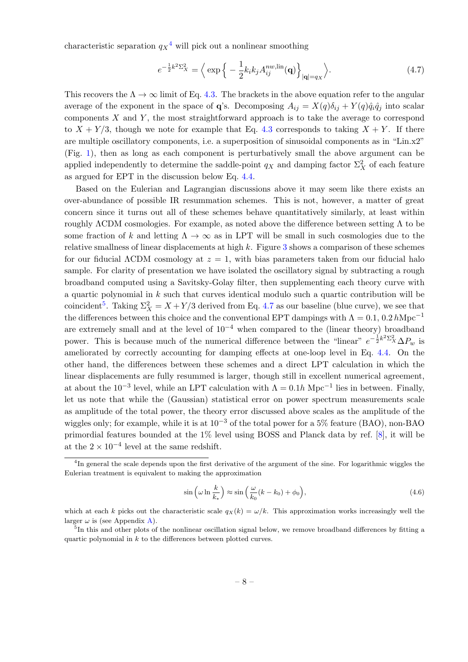characteristic separation  $q_X^4$  $q_X^4$  will pick out a nonlinear smoothing

<span id="page-8-2"></span>
$$
e^{-\frac{1}{2}k^2\Sigma_X^2} = \left\langle \exp\left\{-\frac{1}{2}k_ik_jA_{ij}^{nw,\text{lin}}(\mathbf{q})\right\}_{|\mathbf{q}|=q_X} \right\rangle. \tag{4.7}
$$

This recovers the  $\Lambda \to \infty$  limit of Eq. [4.3.](#page-6-2) The brackets in the above equation refer to the angular average of the exponent in the space of **q**'s. Decomposing  $A_{ij} = X(q)\delta_{ij} + Y(q)\hat{q}_i\hat{q}_j$  into scalar components  $X$  and  $Y$ , the most straightforward approach is to take the average to correspond to  $X + Y/3$ , though we note for example that Eq. [4.3](#page-6-2) corresponds to taking  $X + Y$ . If there are multiple oscillatory components, i.e. a superposition of sinusoidal components as in "Lin.x2" (Fig. [1\)](#page-3-3), then as long as each component is perturbatively small the above argument can be applied independently to determine the saddle-point  $q_X$  and damping factor  $\Sigma_X^2$  of each feature as argued for EPT in the discussion below Eq. [4.4.](#page-6-3)

Based on the Eulerian and Lagrangian discussions above it may seem like there exists an over-abundance of possible IR resummation schemes. This is not, however, a matter of great concern since it turns out all of these schemes behave quantitatively similarly, at least within roughly ΛCDM cosmologies. For example, as noted above the difference between setting Λ to be some fraction of k and letting  $\Lambda \to \infty$  as in LPT will be small in such cosmologies due to the relative smallness of linear displacements at high  $k$ . Figure [3](#page-7-1) shows a comparison of these schemes for our fiducial  $\Lambda$ CDM cosmology at  $z = 1$ , with bias parameters taken from our fiducial halo sample. For clarity of presentation we have isolated the oscillatory signal by subtracting a rough broadband computed using a Savitsky-Golay filter, then supplementing each theory curve with a quartic polynomial in k such that curves identical modulo such a quartic contribution will be coincident<sup>[5](#page-8-1)</sup>. Taking  $\Sigma_X^2 = X + Y/3$  derived from Eq. [4.7](#page-8-2) as our baseline (blue curve), we see that the differences between this choice and the conventional EPT dampings with  $\Lambda = 0.1, 0.2 h \text{Mpc}^{-1}$ are extremely small and at the level of  $10^{-4}$  when compared to the (linear theory) broadband power. This is because much of the numerical difference between the "linear"  $e^{-\frac{1}{2}k^2\Sigma_X^2}\Delta P_w$  is ameliorated by correctly accounting for damping effects at one-loop level in Eq. [4.4.](#page-6-3) On the other hand, the differences between these schemes and a direct LPT calculation in which the linear displacements are fully resummed is larger, though still in excellent numerical agreement, at about the 10<sup>-3</sup> level, while an LPT calculation with  $\Lambda = 0.1h \text{ Mpc}^{-1}$  lies in between. Finally, let us note that while the (Gaussian) statistical error on power spectrum measurements scale as amplitude of the total power, the theory error discussed above scales as the amplitude of the wiggles only; for example, while it is at  $10^{-3}$  of the total power for a 5% feature (BAO), non-BAO primordial features bounded at the 1% level using BOSS and Planck data by ref. [\[8\]](#page-18-3), it will be at the  $2 \times 10^{-4}$  level at the same redshift.

$$
\sin\left(\omega \ln \frac{k}{k_*}\right) \approx \sin\left(\frac{\omega}{k_0}(k - k_0) + \phi_0\right),\tag{4.6}
$$

which at each k picks out the characteristic scale  $q_X(k) = \omega/k$ . This approximation works increasingly well the larger  $\omega$  is (see Appendix [A\)](#page-15-0).

<span id="page-8-0"></span><sup>&</sup>lt;sup>4</sup>In general the scale depends upon the first derivative of the argument of the sine. For logarithmic wiggles the Eulerian treatment is equivalent to making the approximation

<span id="page-8-1"></span><sup>&</sup>lt;sup>5</sup>In this and other plots of the nonlinear oscillation signal below, we remove broadband differences by fitting a quartic polynomial in  $k$  to the differences between plotted curves.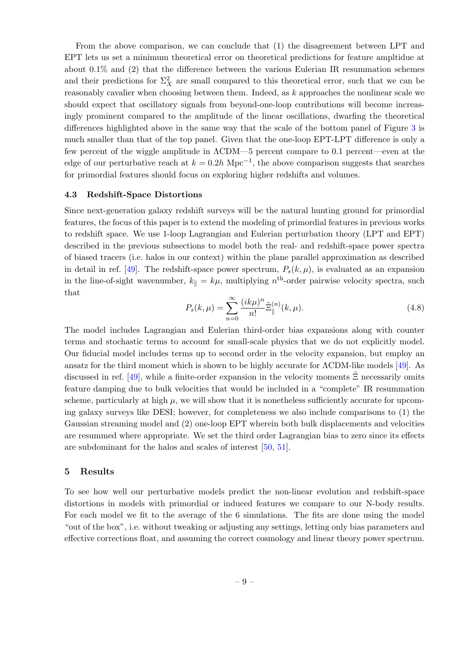From the above comparison, we can conclude that (1) the disagreement between LPT and EPT lets us set a minimum theoretical error on theoretical predictions for feature ampltidue at about 0.1% and (2) that the difference between the various Eulerian IR resummation schemes and their predictions for  $\Sigma_X^2$  are small compared to this theoretical error, such that we can be reasonably cavalier when choosing between them. Indeed, as  $k$  approaches the nonlinear scale we should expect that oscillatory signals from beyond-one-loop contributions will become increasingly prominent compared to the amplitude of the linear oscillations, dwarfing the theoretical differences highlighted above in the same way that the scale of the bottom panel of Figure [3](#page-7-1) is much smaller than that of the top panel. Given that the one-loop EPT-LPT difference is only a few percent of the wiggle amplitude in ΛCDM—5 percent compare to 0.1 percent—even at the edge of our perturbative reach at  $k = 0.2h \text{ Mpc}^{-1}$ , the above comparison suggests that searches for primordial features should focus on exploring higher redshifts and volumes.

# <span id="page-9-0"></span>4.3 Redshift-Space Distortions

Since next-generation galaxy redshift surveys will be the natural hunting ground for primordial features, the focus of this paper is to extend the modeling of primordial features in previous works to redshift space. We use 1-loop Lagrangian and Eulerian perturbation theory (LPT and EPT) described in the previous subsections to model both the real- and redshift-space power spectra of biased tracers (i.e. halos in our context) within the plane parallel approximation as described in detail in ref. [\[49\]](#page-22-3). The redshift-space power spectrum,  $P_s(k,\mu)$ , is evaluated as an expansion in the line-of-sight wavenumber,  $k_{\parallel} = k\mu$ , multiplying  $n^{\text{th}}$ -order pairwise velocity spectra, such that

$$
P_s(k,\mu) = \sum_{n=0}^{\infty} \frac{(ik\mu)^n}{n!} \tilde{\Xi}_{\parallel}^{(n)}(k,\mu).
$$
 (4.8)

The model includes Lagrangian and Eulerian third-order bias expansions along with counter terms and stochastic terms to account for small-scale physics that we do not explicitly model. Our fiducial model includes terms up to second order in the velocity expansion, but employ an ansatz for the third moment which is shown to be highly accurate for ΛCDM-like models [\[49\]](#page-22-3). As discussed in ref. [\[49\]](#page-22-3), while a finite-order expansion in the velocity moments  $\tilde{\Xi}$  necessarily omits feature damping due to bulk velocities that would be included in a "complete" IR resummation scheme, particularly at high  $\mu$ , we will show that it is nonetheless sufficiently accurate for upcoming galaxy surveys like DESI; however, for completeness we also include comparisons to (1) the Gaussian streaming model and (2) one-loop EPT wherein both bulk displacements and velocities are resummed where appropriate. We set the third order Lagrangian bias to zero since its effects are subdominant for the halos and scales of interest [\[50,](#page-22-4) [51\]](#page-22-5).

#### <span id="page-9-1"></span>5 Results

To see how well our perturbative models predict the non-linear evolution and redshift-space distortions in models with primordial or induced features we compare to our N-body results. For each model we fit to the average of the 6 simulations. The fits are done using the model "out of the box", i.e. without tweaking or adjusting any settings, letting only bias parameters and effective corrections float, and assuming the correct cosmology and linear theory power spectrum.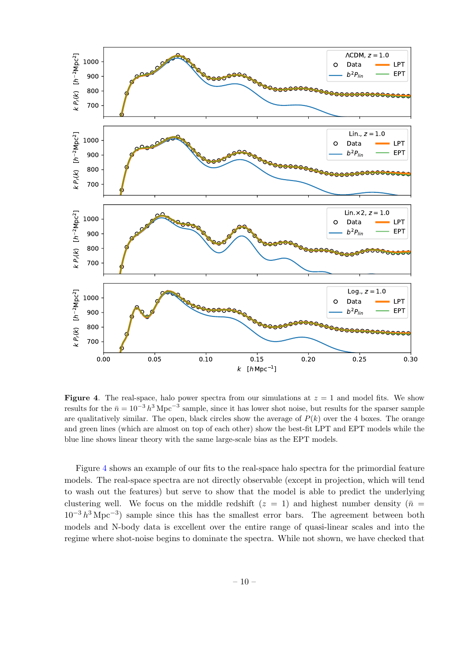

<span id="page-10-0"></span>**Figure 4.** The real-space, halo power spectra from our simulations at  $z = 1$  and model fits. We show results for the  $\bar{n} = 10^{-3} h^3 \text{ Mpc}^{-3}$  sample, since it has lower shot noise, but results for the sparser sample are qualitatively similar. The open, black circles show the average of  $P(k)$  over the 4 boxes. The orange and green lines (which are almost on top of each other) show the best-fit LPT and EPT models while the blue line shows linear theory with the same large-scale bias as the EPT models.

Figure [4](#page-10-0) shows an example of our fits to the real-space halo spectra for the primordial feature models. The real-space spectra are not directly observable (except in projection, which will tend to wash out the features) but serve to show that the model is able to predict the underlying clustering well. We focus on the middle redshift ( $z = 1$ ) and highest number density ( $\bar{n} =$  $10^{-3} h^3 \text{ Mpc}^{-3}$ ) sample since this has the smallest error bars. The agreement between both models and N-body data is excellent over the entire range of quasi-linear scales and into the regime where shot-noise begins to dominate the spectra. While not shown, we have checked that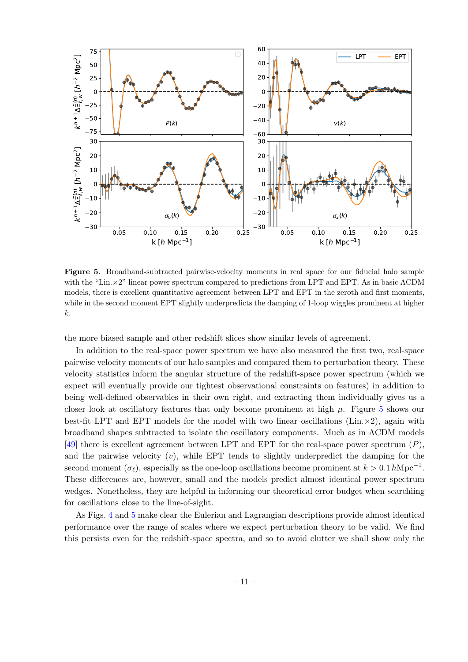

<span id="page-11-0"></span>Figure 5. Broadband-subtracted pairwise-velocity moments in real space for our fiducial halo sample with the "Lin.×2" linear power spectrum compared to predictions from LPT and EPT. As in basic ΛCDM models, there is excellent quantitative agreement between LPT and EPT in the zeroth and first moments, while in the second moment EPT slightly underpredicts the damping of 1-loop wiggles prominent at higher k.

the more biased sample and other redshift slices show similar levels of agreement.

In addition to the real-space power spectrum we have also measured the first two, real-space pairwise velocity moments of our halo samples and compared them to perturbation theory. These velocity statistics inform the angular structure of the redshift-space power spectrum (which we expect will eventually provide our tightest observational constraints on features) in addition to being well-defined observables in their own right, and extracting them individually gives us a closer look at oscillatory features that only become prominent at high  $\mu$ . Figure [5](#page-11-0) shows our best-fit LPT and EPT models for the model with two linear oscillations (Lin. $\times$ 2), again with broadband shapes subtracted to isolate the oscillatory components. Much as in ΛCDM models [\[49\]](#page-22-3) there is excellent agreement between LPT and EPT for the real-space power spectrum  $(P)$ , and the pairwise velocity  $(v)$ , while EPT tends to slightly underpredict the damping for the second moment  $(\sigma_{\ell})$ , especially as the one-loop oscillations become prominent at  $k > 0.1 h \text{Mpc}^{-1}$ . These differences are, however, small and the models predict almost identical power spectrum wedges. Nonetheless, they are helpful in informing our theoretical error budget when searchiing for oscillations close to the line-of-sight.

As Figs. [4](#page-10-0) and [5](#page-11-0) make clear the Eulerian and Lagrangian descriptions provide almost identical performance over the range of scales where we expect perturbation theory to be valid. We find this persists even for the redshift-space spectra, and so to avoid clutter we shall show only the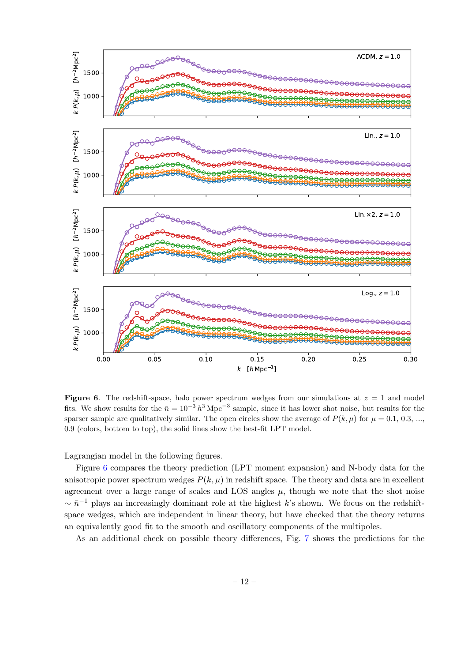

<span id="page-12-0"></span>**Figure 6.** The redshift-space, halo power spectrum wedges from our simulations at  $z = 1$  and model fits. We show results for the  $\bar{n} = 10^{-3} h^3 \text{ Mpc}^{-3}$  sample, since it has lower shot noise, but results for the sparser sample are qualitatively similar. The open circles show the average of  $P(k, \mu)$  for  $\mu = 0.1, 0.3, ...$ 0.9 (colors, bottom to top), the solid lines show the best-fit LPT model.

Lagrangian model in the following figures.

Figure [6](#page-12-0) compares the theory prediction (LPT moment expansion) and N-body data for the anisotropic power spectrum wedges  $P(k, \mu)$  in redshift space. The theory and data are in excellent agreement over a large range of scales and LOS angles  $\mu$ , though we note that the shot noise  $\sim \bar{n}^{-1}$  plays an increasingly dominant role at the highest k's shown. We focus on the redshiftspace wedges, which are independent in linear theory, but have checked that the theory returns an equivalently good fit to the smooth and oscillatory components of the multipoles.

As an additional check on possible theory differences, Fig. [7](#page-13-0) shows the predictions for the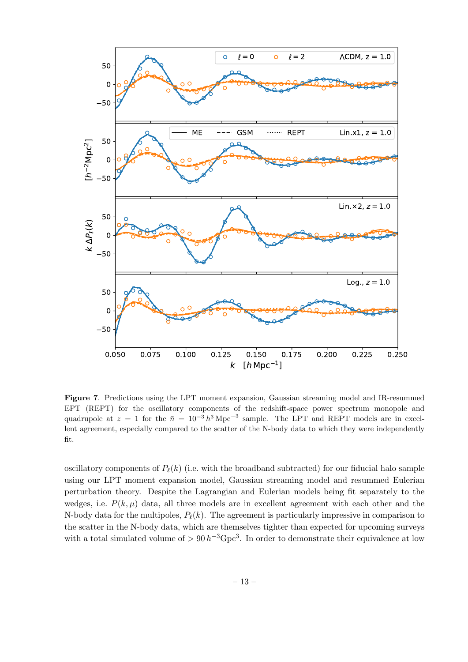

<span id="page-13-0"></span>Figure 7. Predictions using the LPT moment expansion, Gaussian streaming model and IR-resummed EPT (REPT) for the oscillatory components of the redshift-space power spectrum monopole and quadrupole at  $z = 1$  for the  $\bar{n} = 10^{-3} h^3 \text{ Mpc}^{-3}$  sample. The LPT and REPT models are in excellent agreement, especially compared to the scatter of the N-body data to which they were independently fit.

oscillatory components of  $P_{\ell}(k)$  (i.e. with the broadband subtracted) for our fiducial halo sample using our LPT moment expansion model, Gaussian streaming model and resummed Eulerian perturbation theory. Despite the Lagrangian and Eulerian models being fit separately to the wedges, i.e.  $P(k, \mu)$  data, all three models are in excellent agreement with each other and the N-body data for the multipoles,  $P_{\ell}(k)$ . The agreement is particularly impressive in comparison to the scatter in the N-body data, which are themselves tighter than expected for upcoming surveys with a total simulated volume of  $> 90 h^{-3} Gpc^3$ . In order to demonstrate their equivalence at low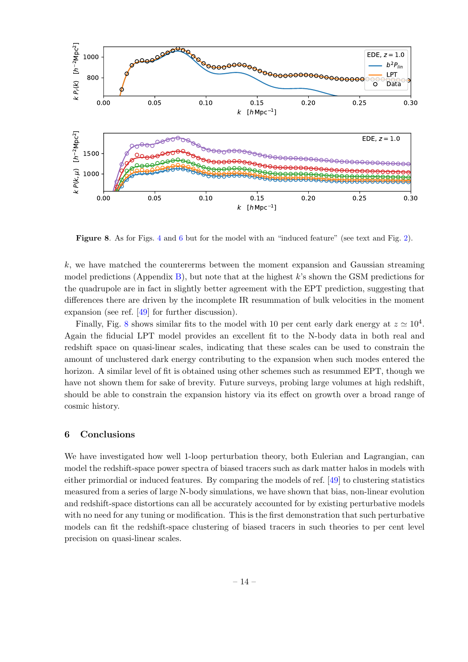

<span id="page-14-1"></span>Figure 8. As for Figs. [4](#page-10-0) and [6](#page-12-0) but for the model with an "induced feature" (see text and Fig. [2\)](#page-4-1).

 $k$ , we have matched the countererms between the moment expansion and Gaussian streaming model predictions (Appendix [B\)](#page-16-0), but note that at the highest  $k$ 's shown the GSM predictions for the quadrupole are in fact in slightly better agreement with the EPT prediction, suggesting that differences there are driven by the incomplete IR resummation of bulk velocities in the moment expansion (see ref. [\[49\]](#page-22-3) for further discussion).

Finally, Fig. [8](#page-14-1) shows similar fits to the model with 10 per cent early dark energy at  $z \simeq 10^4$ . Again the fiducial LPT model provides an excellent fit to the N-body data in both real and redshift space on quasi-linear scales, indicating that these scales can be used to constrain the amount of unclustered dark energy contributing to the expansion when such modes entered the horizon. A similar level of fit is obtained using other schemes such as resummed EPT, though we have not shown them for sake of brevity. Future surveys, probing large volumes at high redshift, should be able to constrain the expansion history via its effect on growth over a broad range of cosmic history.

# <span id="page-14-0"></span>6 Conclusions

We have investigated how well 1-loop perturbation theory, both Eulerian and Lagrangian, can model the redshift-space power spectra of biased tracers such as dark matter halos in models with either primordial or induced features. By comparing the models of ref. [\[49\]](#page-22-3) to clustering statistics measured from a series of large N-body simulations, we have shown that bias, non-linear evolution and redshift-space distortions can all be accurately accounted for by existing perturbative models with no need for any tuning or modification. This is the first demonstration that such perturbative models can fit the redshift-space clustering of biased tracers in such theories to per cent level precision on quasi-linear scales.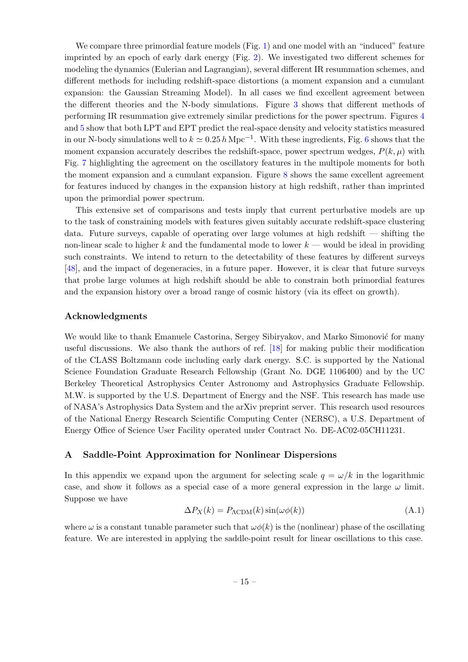We compare three primordial feature models (Fig. [1\)](#page-3-3) and one model with an "induced" feature imprinted by an epoch of early dark energy (Fig. [2\)](#page-4-1). We investigated two different schemes for modeling the dynamics (Eulerian and Lagrangian), several different IR resummation schemes, and different methods for including redshift-space distortions (a moment expansion and a cumulant expansion: the Gaussian Streaming Model). In all cases we find excellent agreement between the different theories and the N-body simulations. Figure [3](#page-7-1) shows that different methods of performing IR resummation give extremely similar predictions for the power spectrum. Figures [4](#page-10-0) and [5](#page-11-0) show that both LPT and EPT predict the real-space density and velocity statistics measured in our N-body simulations well to  $k \simeq 0.25 \, h \, \text{Mpc}^{-1}$ . With these ingredients, Fig. [6](#page-12-0) shows that the moment expansion accurately describes the redshift-space, power spectrum wedges,  $P(k, \mu)$  with Fig. [7](#page-13-0) highlighting the agreement on the oscillatory features in the multipole moments for both the moment expansion and a cumulant expansion. Figure [8](#page-14-1) shows the same excellent agreement for features induced by changes in the expansion history at high redshift, rather than imprinted upon the primordial power spectrum.

This extensive set of comparisons and tests imply that current perturbative models are up to the task of constraining models with features given suitably accurate redshift-space clustering data. Future surveys, capable of operating over large volumes at high redshift — shifting the non-linear scale to higher k and the fundamental mode to lower  $k$  — would be ideal in providing such constraints. We intend to return to the detectability of these features by different surveys [\[48\]](#page-22-2), and the impact of degeneracies, in a future paper. However, it is clear that future surveys that probe large volumes at high redshift should be able to constrain both primordial features and the expansion history over a broad range of cosmic history (via its effect on growth).

# Acknowledgments

We would like to thank Emanuele Castorina, Sergey Sibiryakov, and Marko Simonović for many useful discussions. We also thank the authors of ref. [\[18\]](#page-20-2) for making public their modification of the CLASS Boltzmann code including early dark energy. S.C. is supported by the National Science Foundation Graduate Research Fellowship (Grant No. DGE 1106400) and by the UC Berkeley Theoretical Astrophysics Center Astronomy and Astrophysics Graduate Fellowship. M.W. is supported by the U.S. Department of Energy and the NSF. This research has made use of NASA's Astrophysics Data System and the arXiv preprint server. This research used resources of the National Energy Research Scientific Computing Center (NERSC), a U.S. Department of Energy Office of Science User Facility operated under Contract No. DE-AC02-05CH11231.

#### <span id="page-15-0"></span>A Saddle-Point Approximation for Nonlinear Dispersions

In this appendix we expand upon the argument for selecting scale  $q = \omega/k$  in the logarithmic case, and show it follows as a special case of a more general expression in the large  $\omega$  limit. Suppose we have

$$
\Delta P_X(k) = P_{\Lambda \text{CDM}}(k) \sin(\omega \phi(k)) \tag{A.1}
$$

where  $\omega$  is a constant tunable parameter such that  $\omega\phi(k)$  is the (nonlinear) phase of the oscillating feature. We are interested in applying the saddle-point result for linear oscillations to this case.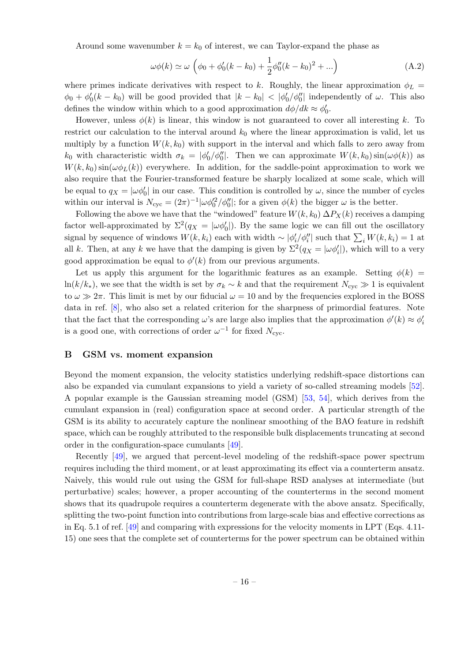Around some wavenumber  $k = k_0$  of interest, we can Taylor-expand the phase as

$$
\omega\phi(k) \simeq \omega \left( \phi_0 + \phi'_0(k - k_0) + \frac{1}{2}\phi''_0(k - k_0)^2 + \ldots \right)
$$
 (A.2)

where primes indicate derivatives with respect to k. Roughly, the linear approximation  $\phi_L$  =  $\phi_0 + \phi_0'(k - k_0)$  will be good provided that  $|k - k_0| < |\phi_0' / \phi_0''|$  independently of  $\omega$ . This also defines the window within which to a good approximation  $d\phi/dk \approx \phi'_0$ .

However, unless  $\phi(k)$  is linear, this window is not guaranteed to cover all interesting k. To restrict our calculation to the interval around  $k_0$  where the linear approximation is valid, let us multiply by a function  $W(k, k_0)$  with support in the interval and which falls to zero away from k<sub>0</sub> with characteristic width  $\sigma_k = |\phi'_0/\phi''_0|$ . Then we can approximate  $W(k, k_0) \sin(\omega \phi(k))$  as  $W(k, k_0)$  sin( $\omega \phi_L(k)$ ) everywhere. In addition, for the saddle-point approximation to work we also require that the Fourier-transformed feature be sharply localized at some scale, which will be equal to  $q_X = |\omega \phi'_0|$  in our case. This condition is controlled by  $\omega$ , since the number of cycles within our interval is  $N_{\rm cyc} = (2\pi)^{-1} |\omega \phi_0'^2/\phi_0''|$ ; for a given  $\phi(k)$  the bigger  $\omega$  is the better.

Following the above we have that the "windowed" feature  $W(k, k_0) \Delta P_X(k)$  receives a damping factor well-approximated by  $\Sigma^2(q_X = |\omega \phi_0'|)$ . By the same logic we can fill out the oscillatory signal by sequence of windows  $W(k, k_i)$  each with width  $\sim |\phi_i'/\phi_i''|$  such that  $\sum_i W(k, k_i) = 1$  at all k. Then, at any k we have that the damping is given by  $\Sigma^2(q_X = |\omega \phi'_i|)$ , which will to a very good approximation be equal to  $\phi'(k)$  from our previous arguments.

Let us apply this argument for the logarithmic features as an example. Setting  $\phi(k)$  =  $ln(k/k_*)$ , we see that the width is set by  $\sigma_k \sim k$  and that the requirement  $N_{\text{cyc}} \gg 1$  is equivalent to  $\omega \gg 2\pi$ . This limit is met by our fiducial  $\omega = 10$  and by the frequencies explored in the BOSS data in ref. [\[8\]](#page-18-3), who also set a related criterion for the sharpness of primordial features. Note that the fact that the corresponding  $\omega$ 's are large also implies that the approximation  $\phi'(k) \approx \phi'_i$ is a good one, with corrections of order  $\omega^{-1}$  for fixed  $N_{\text{cyc}}$ .

#### <span id="page-16-0"></span>B GSM vs. moment expansion

Beyond the moment expansion, the velocity statistics underlying redshift-space distortions can also be expanded via cumulant expansions to yield a variety of so-called streaming models [\[52\]](#page-22-6). A popular example is the Gaussian streaming model (GSM) [\[53,](#page-22-7) [54\]](#page-22-8), which derives from the cumulant expansion in (real) configuration space at second order. A particular strength of the GSM is its ability to accurately capture the nonlinear smoothing of the BAO feature in redshift space, which can be roughly attributed to the responsible bulk displacements truncating at second order in the configuration-space cumulants [\[49\]](#page-22-3).

Recently [\[49\]](#page-22-3), we argued that percent-level modeling of the redshift-space power spectrum requires including the third moment, or at least approximating its effect via a counterterm ansatz. Naively, this would rule out using the GSM for full-shape RSD analyses at intermediate (but perturbative) scales; however, a proper accounting of the counterterms in the second moment shows that its quadrupole requires a counterterm degenerate with the above ansatz. Specifically, splitting the two-point function into contributions from large-scale bias and effective corrections as in Eq. 5.1 of ref. [\[49\]](#page-22-3) and comparing with expressions for the velocity moments in LPT (Eqs. 4.11- 15) one sees that the complete set of counterterms for the power spectrum can be obtained within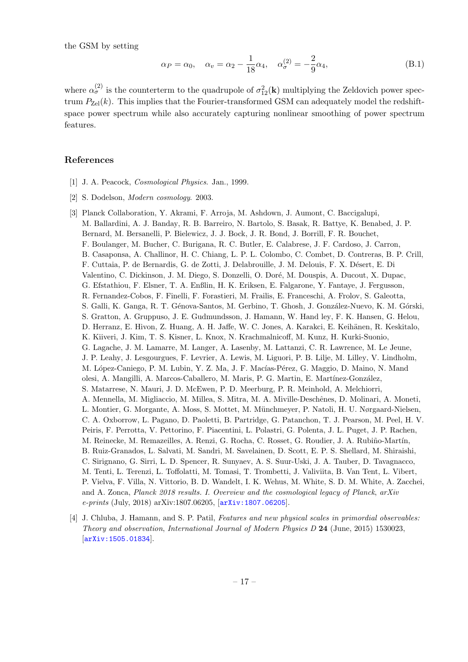$$
\alpha_P = \alpha_0, \quad \alpha_v = \alpha_2 - \frac{1}{18}\alpha_4, \quad \alpha_\sigma^{(2)} = -\frac{2}{9}\alpha_4,
$$
\n(B.1)

where  $\alpha_{\sigma}^{(2)}$  is the counterterm to the quadrupole of  $\sigma_{12}^2(\mathbf{k})$  multiplying the Zeldovich power spectrum  $P_{\text{Zel}}(k)$ . This implies that the Fourier-transformed GSM can adequately model the redshiftspace power spectrum while also accurately capturing nonlinear smoothing of power spectrum features.

# References

- <span id="page-17-0"></span>[1] J. A. Peacock, Cosmological Physics. Jan., 1999.
- <span id="page-17-3"></span>[2] S. Dodelson, Modern cosmology. 2003.
- <span id="page-17-1"></span>[3] Planck Collaboration, Y. Akrami, F. Arroja, M. Ashdown, J. Aumont, C. Baccigalupi, M. Ballardini, A. J. Banday, R. B. Barreiro, N. Bartolo, S. Basak, R. Battye, K. Benabed, J. P. Bernard, M. Bersanelli, P. Bielewicz, J. J. Bock, J. R. Bond, J. Borrill, F. R. Bouchet, F. Boulanger, M. Bucher, C. Burigana, R. C. Butler, E. Calabrese, J. F. Cardoso, J. Carron, B. Casaponsa, A. Challinor, H. C. Chiang, L. P. L. Colombo, C. Combet, D. Contreras, B. P. Crill, F. Cuttaia, P. de Bernardis, G. de Zotti, J. Delabrouille, J. M. Delouis, F. X. Désert, E. Di Valentino, C. Dickinson, J. M. Diego, S. Donzelli, O. Doré, M. Douspis, A. Ducout, X. Dupac, G. Efstathiou, F. Elsner, T. A. Enßlin, H. K. Eriksen, E. Falgarone, Y. Fantaye, J. Fergusson, R. Fernandez-Cobos, F. Finelli, F. Forastieri, M. Frailis, E. Franceschi, A. Frolov, S. Galeotta, S. Galli, K. Ganga, R. T. Génova-Santos, M. Gerbino, T. Ghosh, J. González-Nuevo, K. M. Górski, S. Gratton, A. Gruppuso, J. E. Gudmundsson, J. Hamann, W. Hand ley, F. K. Hansen, G. Helou, D. Herranz, E. Hivon, Z. Huang, A. H. Jaffe, W. C. Jones, A. Karakci, E. Keihänen, R. Keskitalo, K. Kiiveri, J. Kim, T. S. Kisner, L. Knox, N. Krachmalnicoff, M. Kunz, H. Kurki-Suonio, G. Lagache, J. M. Lamarre, M. Langer, A. Lasenby, M. Lattanzi, C. R. Lawrence, M. Le Jeune, J. P. Leahy, J. Lesgourgues, F. Levrier, A. Lewis, M. Liguori, P. B. Lilje, M. Lilley, V. Lindholm, M. López-Caniego, P. M. Lubin, Y. Z. Ma, J. F. Macías-Pérez, G. Maggio, D. Maino, N. Mand olesi, A. Mangilli, A. Marcos-Caballero, M. Maris, P. G. Martin, E. Martínez-González, S. Matarrese, N. Mauri, J. D. McEwen, P. D. Meerburg, P. R. Meinhold, A. Melchiorri, A. Mennella, M. Migliaccio, M. Millea, S. Mitra, M. A. Miville-Deschênes, D. Molinari, A. Moneti, L. Montier, G. Morgante, A. Moss, S. Mottet, M. M¨unchmeyer, P. Natoli, H. U. Nørgaard-Nielsen, C. A. Oxborrow, L. Pagano, D. Paoletti, B. Partridge, G. Patanchon, T. J. Pearson, M. Peel, H. V. Peiris, F. Perrotta, V. Pettorino, F. Piacentini, L. Polastri, G. Polenta, J. L. Puget, J. P. Rachen, M. Reinecke, M. Remazeilles, A. Renzi, G. Rocha, C. Rosset, G. Roudier, J. A. Rubiño-Martín, B. Ruiz-Granados, L. Salvati, M. Sandri, M. Savelainen, D. Scott, E. P. S. Shellard, M. Shiraishi, C. Sirignano, G. Sirri, L. D. Spencer, R. Sunyaev, A. S. Suur-Uski, J. A. Tauber, D. Tavagnacco, M. Tenti, L. Terenzi, L. Toffolatti, M. Tomasi, T. Trombetti, J. Valiviita, B. Van Tent, L. Vibert, P. Vielva, F. Villa, N. Vittorio, B. D. Wandelt, I. K. Wehus, M. White, S. D. M. White, A. Zacchei, and A. Zonca, Planck 2018 results. I. Overview and the cosmological legacy of Planck, arXiv e-prints (July, 2018) arXiv:1807.06205, [[arXiv:1807.06205](http://arxiv.org/abs/1807.06205)].
- <span id="page-17-2"></span>[4] J. Chluba, J. Hamann, and S. P. Patil, *Features and new physical scales in primordial observables:* Theory and observation, International Journal of Modern Physics D 24 (June, 2015) 1530023, [[arXiv:1505.01834](http://arxiv.org/abs/1505.01834)].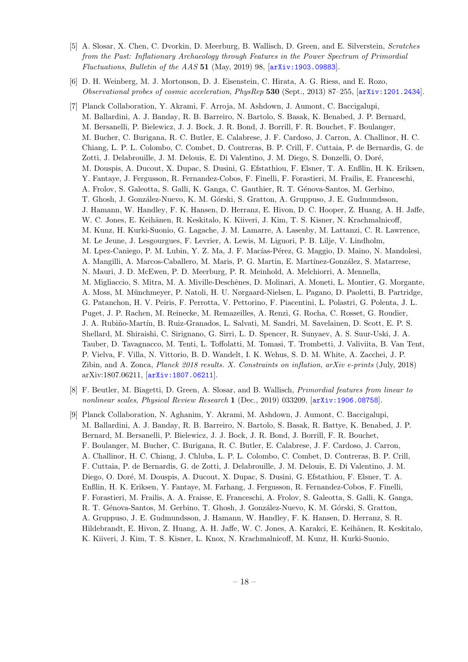- <span id="page-18-0"></span>[5] A. Slosar, X. Chen, C. Dvorkin, D. Meerburg, B. Wallisch, D. Green, and E. Silverstein, Scratches from the Past: Inflationary Archaeology through Features in the Power Spectrum of Primordial Fluctuations, Bulletin of the  $AAS$  51 (May, 2019) 98,  $[arXiv:1903.09883]$  $[arXiv:1903.09883]$  $[arXiv:1903.09883]$ .
- <span id="page-18-1"></span>[6] D. H. Weinberg, M. J. Mortonson, D. J. Eisenstein, C. Hirata, A. G. Riess, and E. Rozo, Observational probes of cosmic acceleration, PhysRep 530 (Sept., 2013) 87–255, [[arXiv:1201.2434](http://arxiv.org/abs/1201.2434)].
- <span id="page-18-2"></span>[7] Planck Collaboration, Y. Akrami, F. Arroja, M. Ashdown, J. Aumont, C. Baccigalupi, M. Ballardini, A. J. Banday, R. B. Barreiro, N. Bartolo, S. Basak, K. Benabed, J. P. Bernard, M. Bersanelli, P. Bielewicz, J. J. Bock, J. R. Bond, J. Borrill, F. R. Bouchet, F. Boulanger, M. Bucher, C. Burigana, R. C. Butler, E. Calabrese, J. F. Cardoso, J. Carron, A. Challinor, H. C. Chiang, L. P. L. Colombo, C. Combet, D. Contreras, B. P. Crill, F. Cuttaia, P. de Bernardis, G. de Zotti, J. Delabrouille, J. M. Delouis, E. Di Valentino, J. M. Diego, S. Donzelli, O. Dor´e, M. Douspis, A. Ducout, X. Dupac, S. Dusini, G. Efstathiou, F. Elsner, T. A. Enßlin, H. K. Eriksen, Y. Fantaye, J. Fergusson, R. Fernandez-Cobos, F. Finelli, F. Forastieri, M. Frailis, E. Franceschi, A. Frolov, S. Galeotta, S. Galli, K. Ganga, C. Gauthier, R. T. Génova-Santos, M. Gerbino, T. Ghosh, J. González-Nuevo, K. M. Górski, S. Gratton, A. Gruppuso, J. E. Gudmundsson, J. Hamann, W. Handley, F. K. Hansen, D. Herranz, E. Hivon, D. C. Hooper, Z. Huang, A. H. Jaffe, W. C. Jones, E. Keihänen, R. Keskitalo, K. Kiiveri, J. Kim, T. S. Kisner, N. Krachmalnicoff, M. Kunz, H. Kurki-Suonio, G. Lagache, J. M. Lamarre, A. Lasenby, M. Lattanzi, C. R. Lawrence, M. Le Jeune, J. Lesgourgues, F. Levrier, A. Lewis, M. Liguori, P. B. Lilje, V. Lindholm, M. Lpez-Caniego, P. M. Lubin, Y. Z. Ma, J. F. Macías-Pérez, G. Maggio, D. Maino, N. Mandolesi, A. Mangilli, A. Marcos-Caballero, M. Maris, P. G. Martin, E. Martínez-González, S. Matarrese, N. Mauri, J. D. McEwen, P. D. Meerburg, P. R. Meinhold, A. Melchiorri, A. Mennella, M. Migliaccio, S. Mitra, M. A. Miville-Deschênes, D. Molinari, A. Moneti, L. Montier, G. Morgante, A. Moss, M. M¨unchmeyer, P. Natoli, H. U. Nørgaard-Nielsen, L. Pagano, D. Paoletti, B. Partridge, G. Patanchon, H. V. Peiris, F. Perrotta, V. Pettorino, F. Piacentini, L. Polastri, G. Polenta, J. L. Puget, J. P. Rachen, M. Reinecke, M. Remazeilles, A. Renzi, G. Rocha, C. Rosset, G. Roudier, J. A. Rubiño-Martín, B. Ruiz-Granados, L. Salvati, M. Sandri, M. Savelainen, D. Scott, E. P. S. Shellard, M. Shiraishi, C. Sirignano, G. Sirri, L. D. Spencer, R. Sunyaev, A. S. Suur-Uski, J. A. Tauber, D. Tavagnacco, M. Tenti, L. Toffolatti, M. Tomasi, T. Trombetti, J. Valiviita, B. Van Tent, P. Vielva, F. Villa, N. Vittorio, B. D. Wandelt, I. K. Wehus, S. D. M. White, A. Zacchei, J. P. Zibin, and A. Zonca, Planck 2018 results. X. Constraints on inflation, arXiv e-prints (July, 2018) arXiv:1807.06211, [[arXiv:1807.06211](http://arxiv.org/abs/1807.06211)].
- <span id="page-18-3"></span>[8] F. Beutler, M. Biagetti, D. Green, A. Slosar, and B. Wallisch, Primordial features from linear to nonlinear scales, Physical Review Research 1 (Dec., 2019) 033209,  $[array]$  1906.08758.
- <span id="page-18-4"></span>[9] Planck Collaboration, N. Aghanim, Y. Akrami, M. Ashdown, J. Aumont, C. Baccigalupi, M. Ballardini, A. J. Banday, R. B. Barreiro, N. Bartolo, S. Basak, R. Battye, K. Benabed, J. P. Bernard, M. Bersanelli, P. Bielewicz, J. J. Bock, J. R. Bond, J. Borrill, F. R. Bouchet, F. Boulanger, M. Bucher, C. Burigana, R. C. Butler, E. Calabrese, J. F. Cardoso, J. Carron, A. Challinor, H. C. Chiang, J. Chluba, L. P. L. Colombo, C. Combet, D. Contreras, B. P. Crill, F. Cuttaia, P. de Bernardis, G. de Zotti, J. Delabrouille, J. M. Delouis, E. Di Valentino, J. M. Diego, O. Doré, M. Douspis, A. Ducout, X. Dupac, S. Dusini, G. Efstathiou, F. Elsner, T. A. Enßlin, H. K. Eriksen, Y. Fantaye, M. Farhang, J. Fergusson, R. Fernandez-Cobos, F. Finelli, F. Forastieri, M. Frailis, A. A. Fraisse, E. Franceschi, A. Frolov, S. Galeotta, S. Galli, K. Ganga, R. T. Génova-Santos, M. Gerbino, T. Ghosh, J. González-Nuevo, K. M. Górski, S. Gratton, A. Gruppuso, J. E. Gudmundsson, J. Hamann, W. Handley, F. K. Hansen, D. Herranz, S. R. Hildebrandt, E. Hivon, Z. Huang, A. H. Jaffe, W. C. Jones, A. Karakci, E. Keihänen, R. Keskitalo, K. Kiiveri, J. Kim, T. S. Kisner, L. Knox, N. Krachmalnicoff, M. Kunz, H. Kurki-Suonio,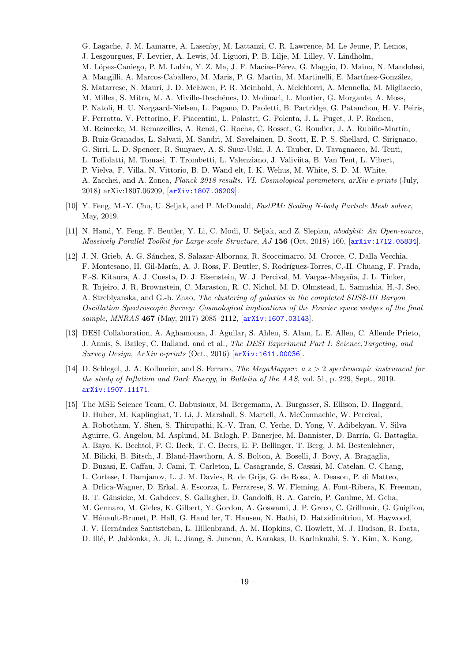G. Lagache, J. M. Lamarre, A. Lasenby, M. Lattanzi, C. R. Lawrence, M. Le Jeune, P. Lemos, J. Lesgourgues, F. Levrier, A. Lewis, M. Liguori, P. B. Lilje, M. Lilley, V. Lindholm, M. López-Caniego, P. M. Lubin, Y. Z. Ma, J. F. Macías-Pérez, G. Maggio, D. Maino, N. Mandolesi, A. Mangilli, A. Marcos-Caballero, M. Maris, P. G. Martin, M. Martinelli, E. Martínez-González, S. Matarrese, N. Mauri, J. D. McEwen, P. R. Meinhold, A. Melchiorri, A. Mennella, M. Migliaccio, M. Millea, S. Mitra, M. A. Miville-Deschênes, D. Molinari, L. Montier, G. Morgante, A. Moss, P. Natoli, H. U. Nørgaard-Nielsen, L. Pagano, D. Paoletti, B. Partridge, G. Patanchon, H. V. Peiris, F. Perrotta, V. Pettorino, F. Piacentini, L. Polastri, G. Polenta, J. L. Puget, J. P. Rachen, M. Reinecke, M. Remazeilles, A. Renzi, G. Rocha, C. Rosset, G. Roudier, J. A. Rubiño-Martín, B. Ruiz-Granados, L. Salvati, M. Sandri, M. Savelainen, D. Scott, E. P. S. Shellard, C. Sirignano, G. Sirri, L. D. Spencer, R. Sunyaev, A. S. Suur-Uski, J. A. Tauber, D. Tavagnacco, M. Tenti, L. Toffolatti, M. Tomasi, T. Trombetti, L. Valenziano, J. Valiviita, B. Van Tent, L. Vibert, P. Vielva, F. Villa, N. Vittorio, B. D. Wand elt, I. K. Wehus, M. White, S. D. M. White, A. Zacchei, and A. Zonca, Planck 2018 results. VI. Cosmological parameters, arXiv e-prints (July, 2018) arXiv:1807.06209, [[arXiv:1807.06209](http://arxiv.org/abs/1807.06209)].

- <span id="page-19-0"></span>[10] Y. Feng, M.-Y. Chu, U. Seljak, and P. McDonald, FastPM: Scaling N-body Particle Mesh solver, May, 2019.
- <span id="page-19-1"></span>[11] N. Hand, Y. Feng, F. Beutler, Y. Li, C. Modi, U. Seljak, and Z. Slepian, nbodykit: An Open-source, Massively Parallel Toolkit for Large-scale Structure, AJ 156 (Oct, 2018) 160, [[arXiv:1712.05834](http://arxiv.org/abs/1712.05834)].
- <span id="page-19-2"></span>[12] J. N. Grieb, A. G. S´anchez, S. Salazar-Albornoz, R. Scoccimarro, M. Crocce, C. Dalla Vecchia, F. Montesano, H. Gil-Marín, A. J. Ross, F. Beutler, S. Rodríguez-Torres, C.-H. Chuang, F. Prada, F.-S. Kitaura, A. J. Cuesta, D. J. Eisenstein, W. J. Percival, M. Vargas-Magaña, J. L. Tinker, R. Tojeiro, J. R. Brownstein, C. Maraston, R. C. Nichol, M. D. Olmstead, L. Samushia, H.-J. Seo, A. Streblyanska, and G.-b. Zhao, The clustering of galaxies in the completed SDSS-III Baryon Oscillation Spectroscopic Survey: Cosmological implications of the Fourier space wedges of the final sample, MNRAS 467 (May, 2017) 2085–2112, [[arXiv:1607.03143](http://arxiv.org/abs/1607.03143)].
- <span id="page-19-3"></span>[13] DESI Collaboration, A. Aghamousa, J. Aguilar, S. Ahlen, S. Alam, L. E. Allen, C. Allende Prieto, J. Annis, S. Bailey, C. Balland, and et al., The DESI Experiment Part I: Science,Targeting, and Survey Design, ArXiv e-prints (Oct., 2016) [[arXiv:1611.00036](http://arxiv.org/abs/1611.00036)].
- <span id="page-19-4"></span>[14] D. Schlegel, J. A. Kollmeier, and S. Ferraro, The MegaMapper: a z > 2 spectroscopic instrument for the study of Inflation and Dark Energy, in Bulletin of the AAS, vol. 51, p. 229, Sept., 2019. [arXiv:1907.11171](http://arxiv.org/abs/1907.11171).
- <span id="page-19-5"></span>[15] The MSE Science Team, C. Babusiaux, M. Bergemann, A. Burgasser, S. Ellison, D. Haggard, D. Huber, M. Kaplinghat, T. Li, J. Marshall, S. Martell, A. McConnachie, W. Percival, A. Robotham, Y. Shen, S. Thirupathi, K.-V. Tran, C. Yeche, D. Yong, V. Adibekyan, V. Silva Aguirre, G. Angelou, M. Asplund, M. Balogh, P. Banerjee, M. Bannister, D. Barría, G. Battaglia, A. Bayo, K. Bechtol, P. G. Beck, T. C. Beers, E. P. Bellinger, T. Berg, J. M. Bestenlehner, M. Bilicki, B. Bitsch, J. Bland-Hawthorn, A. S. Bolton, A. Boselli, J. Bovy, A. Bragaglia, D. Buzasi, E. Caffau, J. Cami, T. Carleton, L. Casagrande, S. Cassisi, M. Catelan, C. Chang, L. Cortese, I. Damjanov, L. J. M. Davies, R. de Grijs, G. de Rosa, A. Deason, P. di Matteo, A. Drlica-Wagner, D. Erkal, A. Escorza, L. Ferrarese, S. W. Fleming, A. Font-Ribera, K. Freeman, B. T. Gänsicke, M. Gabdeev, S. Gallagher, D. Gandolfi, R. A. García, P. Gaulme, M. Geha, M. Gennaro, M. Gieles, K. Gilbert, Y. Gordon, A. Goswami, J. P. Greco, C. Grillmair, G. Guiglion, V. Hénault-Brunet, P. Hall, G. Hand ler, T. Hansen, N. Hathi, D. Hatzidimitriou, M. Haywood, J. V. Hern´andez Santisteban, L. Hillenbrand, A. M. Hopkins, C. Howlett, M. J. Hudson, R. Ibata, D. Ilić, P. Jablonka, A. Ji, L. Jiang, S. Juneau, A. Karakas, D. Karinkuzhi, S. Y. Kim, X. Kong,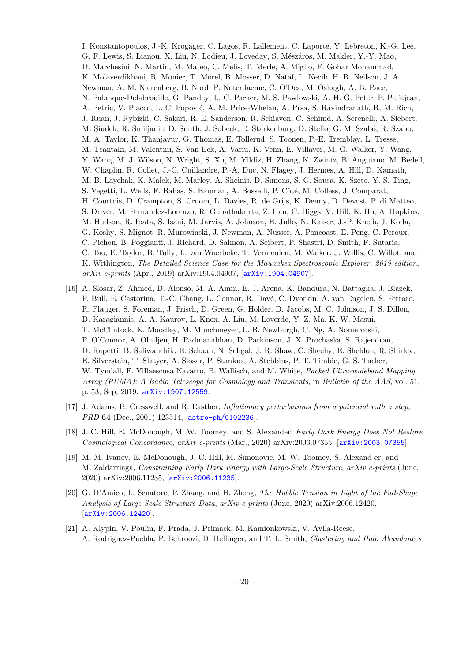I. Konstantopoulos, J.-K. Krogager, C. Lagos, R. Lallement, C. Laporte, Y. Lebreton, K.-G. Lee, G. F. Lewis, S. Lianou, X. Liu, N. Lodieu, J. Loveday, S. Mészáros, M. Makler, Y.-Y. Mao, D. Marchesini, N. Martin, M. Mateo, C. Melis, T. Merle, A. Miglio, F. Gohar Mohammad, K. Molaverdikhani, R. Monier, T. Morel, B. Mosser, D. Nataf, L. Necib, H. R. Neilson, J. A. Newman, A. M. Nierenberg, B. Nord, P. Noterdaeme, C. O'Dea, M. Oshagh, A. B. Pace, N. Palanque-Delabrouille, G. Pandey, L. C. Parker, M. S. Pawlowski, A. H. G. Peter, P. Petitjean, A. Petric, V. Placco, L. C. Popović, A. M. Price-Whelan, A. Prsa, S. Ravindranath, R. M. Rich, J. Ruan, J. Rybizki, C. Sakari, R. E. Sanderson, R. Schiavon, C. Schimd, A. Serenelli, A. Siebert, M. Siudek, R. Smiljanic, D. Smith, J. Sobeck, E. Starkenburg, D. Stello, G. M. Szabó, R. Szabo, M. A. Taylor, K. Thanjavur, G. Thomas, E. Tollerud, S. Toonen, P.-E. Tremblay, L. Tresse, M. Tsantaki, M. Valentini, S. Van Eck, A. Variu, K. Venn, E. Villaver, M. G. Walker, Y. Wang, Y. Wang, M. J. Wilson, N. Wright, S. Xu, M. Yildiz, H. Zhang, K. Zwintz, B. Anguiano, M. Bedell, W. Chaplin, R. Collet, J.-C. Cuillandre, P.-A. Duc, N. Flagey, J. Hermes, A. Hill, D. Kamath, M. B. Laychak, K. Małek, M. Marley, A. Sheinis, D. Simons, S. G. Sousa, K. Szeto, Y.-S. Ting, S. Vegetti, L. Wells, F. Babas, S. Bauman, A. Bosselli, P. Côté, M. Colless, J. Comparat, H. Courtois, D. Crampton, S. Croom, L. Davies, R. de Grijs, K. Denny, D. Devost, P. di Matteo, S. Driver, M. Fernandez-Lorenzo, R. Guhathakurta, Z. Han, C. Higgs, V. Hill, K. Ho, A. Hopkins, M. Hudson, R. Ibata, S. Isani, M. Jarvis, A. Johnson, E. Jullo, N. Kaiser, J.-P. Kneib, J. Koda, G. Koshy, S. Mignot, R. Murowinski, J. Newman, A. Nusser, A. Pancoast, E. Peng, C. Peroux, C. Pichon, B. Poggianti, J. Richard, D. Salmon, A. Seibert, P. Shastri, D. Smith, F. Sutaria, C. Tao, E. Taylor, B. Tully, L. van Waerbeke, T. Vermeulen, M. Walker, J. Willis, C. Willot, and K. Withington, The Detailed Science Case for the Maunakea Spectroscopic Explorer, 2019 edition, arXiv e-prints (Apr., 2019) arXiv:1904.04907, [[arXiv:1904.04907](http://arxiv.org/abs/1904.04907)].

- <span id="page-20-0"></span>[16] A. Slosar, Z. Ahmed, D. Alonso, M. A. Amin, E. J. Arena, K. Bandura, N. Battaglia, J. Blazek, P. Bull, E. Castorina, T.-C. Chang, L. Connor, R. Davé, C. Dvorkin, A. van Engelen, S. Ferraro, R. Flauger, S. Foreman, J. Frisch, D. Green, G. Holder, D. Jacobs, M. C. Johnson, J. S. Dillon, D. Karagiannis, A. A. Kaurov, L. Knox, A. Liu, M. Loverde, Y.-Z. Ma, K. W. Masui, T. McClintock, K. Moodley, M. Munchmeyer, L. B. Newburgh, C. Ng, A. Nomerotski, P. O'Connor, A. Obuljen, H. Padmanabhan, D. Parkinson, J. X. Prochaska, S. Rajendran, D. Rapetti, B. Saliwanchik, E. Schaan, N. Sehgal, J. R. Shaw, C. Sheehy, E. Sheldon, R. Shirley, E. Silverstein, T. Slatyer, A. Slosar, P. Stankus, A. Stebbins, P. T. Timbie, G. S. Tucker, W. Tyndall, F. Villaescusa Navarro, B. Wallisch, and M. White, Packed Ultra-wideband Mapping Array (PUMA): A Radio Telescope for Cosmology and Transients, in Bulletin of the AAS, vol. 51, p. 53, Sep, 2019. [arXiv:1907.12559](http://arxiv.org/abs/1907.12559).
- <span id="page-20-1"></span>[17] J. Adams, B. Cresswell, and R. Easther, Inflationary perturbations from a potential with a step, PRD 64 (Dec., 2001) 123514, [[astro-ph/0102236](http://xxx.lanl.gov/abs/astro-ph/0102236)].
- <span id="page-20-2"></span>[18] J. C. Hill, E. McDonough, M. W. Toomey, and S. Alexander, Early Dark Energy Does Not Restore Cosmological Concordance, arXiv e-prints (Mar., 2020) arXiv:2003.07355, [[arXiv:2003.07355](http://arxiv.org/abs/2003.07355)].
- [19] M. M. Ivanov, E. McDonough, J. C. Hill, M. Simonović, M. W. Toomey, S. Alexand er, and M. Zaldarriaga, Constraining Early Dark Energy with Large-Scale Structure, arXiv e-prints (June, 2020) arXiv:2006.11235, [[arXiv:2006.11235](http://arxiv.org/abs/2006.11235)].
- [20] G. D'Amico, L. Senatore, P. Zhang, and H. Zheng, The Hubble Tension in Light of the Full-Shape Analysis of Large-Scale Structure Data, arXiv e-prints (June, 2020) arXiv:2006.12420, [[arXiv:2006.12420](http://arxiv.org/abs/2006.12420)].
- <span id="page-20-3"></span>[21] A. Klypin, V. Poulin, F. Prada, J. Primack, M. Kamionkowski, V. Avila-Reese, A. Rodriguez-Puebla, P. Behroozi, D. Hellinger, and T. L. Smith, Clustering and Halo Abundances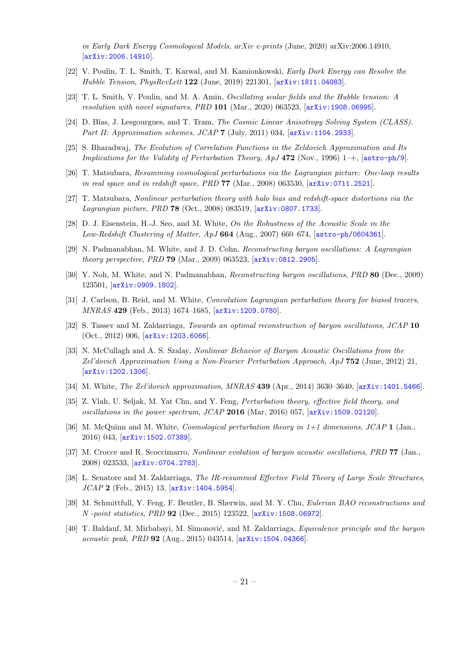in Early Dark Energy Cosmological Models, arXiv e-prints (June, 2020) arXiv:2006.14910, [[arXiv:2006.14910](http://arxiv.org/abs/2006.14910)].

- <span id="page-21-0"></span>[22] V. Poulin, T. L. Smith, T. Karwal, and M. Kamionkowski, Early Dark Energy can Resolve the Hubble Tension, PhysRevLett 122 (June, 2019) 221301, [[arXiv:1811.04083](http://arxiv.org/abs/1811.04083)].
- <span id="page-21-1"></span>[23] T. L. Smith, V. Poulin, and M. A. Amin, Oscillating scalar fields and the Hubble tension: A resolution with novel signatures, PRD 101 (Mar., 2020) 063523, [[arXiv:1908.06995](http://arxiv.org/abs/1908.06995)].
- <span id="page-21-2"></span>[24] D. Blas, J. Lesgourgues, and T. Tram, The Cosmic Linear Anisotropy Solving System (CLASS). Part II: Approximation schemes, JCAP 7 (July, 2011) 034, [[arXiv:1104.2933](http://arxiv.org/abs/1104.2933)].
- <span id="page-21-3"></span>[25] S. Bharadwaj, The Evolution of Correlation Functions in the Zeldovich Approximation and Its Implications for the Validity of Perturbation Theory, ApJ 472 (Nov., 1996) 1–+,  $[astroph/9]$ .
- <span id="page-21-6"></span>[26] T. Matsubara, Resumming cosmological perturbations via the Lagrangian picture: One-loop results in real space and in redshift space, PRD 77 (Mar., 2008) 063530, [[arXiv:0711.2521](http://arxiv.org/abs/0711.2521)].
- [27] T. Matsubara, Nonlinear perturbation theory with halo bias and redshift-space distortions via the Lagrangian picture, PRD 78 (Oct., 2008) 083519, [[arXiv:0807.1733](http://arxiv.org/abs/0807.1733)].
- [28] D. J. Eisenstein, H.-J. Seo, and M. White, On the Robustness of the Acoustic Scale in the Low-Redshift Clustering of Matter, ApJ 664 (Aug., 2007) 660–674, [[astro-ph/0604361](http://xxx.lanl.gov/abs/astro-ph/0604361)].
- [29] N. Padmanabhan, M. White, and J. D. Cohn, Reconstructing baryon oscillations: A Lagrangian *theory perspective, PRD* 79 (Mar., 2009) 063523,  $\ar{xiv:0812.2905}$ .
- [30] Y. Noh, M. White, and N. Padmanabhan, *Reconstructing baryon oscillations*, *PRD* 80 (Dec., 2009) 123501, [[arXiv:0909.1802](http://arxiv.org/abs/0909.1802)].
- <span id="page-21-7"></span>[31] J. Carlson, B. Reid, and M. White, *Convolution Lagrangian perturbation theory for biased tracers*, MNRAS 429 (Feb., 2013) 1674–1685, [[arXiv:1209.0780](http://arxiv.org/abs/1209.0780)].
- [32] S. Tassev and M. Zaldarriaga, Towards an optimal reconstruction of baryon oscillations, JCAP 10 (Oct., 2012) 006, [[arXiv:1203.6066](http://arxiv.org/abs/1203.6066)].
- [33] N. McCullagh and A. S. Szalay, Nonlinear Behavior of Baryon Acoustic Oscillations from the Zel'dovich Approximation Using a Non-Fourier Perturbation Approach,  $ApJ 752$  (June, 2012) 21, [[arXiv:1202.1306](http://arxiv.org/abs/1202.1306)].
- [34] M. White, *The Zel'dovich approximation, MNRAS* 439 (Apr., 2014) 3630–3640, [[arXiv:1401.5466](http://arxiv.org/abs/1401.5466)].
- <span id="page-21-8"></span>[35] Z. Vlah, U. Seljak, M. Yat Chu, and Y. Feng, Perturbation theory, effective field theory, and oscillations in the power spectrum,  $JCAP$  2016 (Mar, 2016) 057, [[arXiv:1509.02120](http://arxiv.org/abs/1509.02120)].
- <span id="page-21-4"></span>[36] M. McQuinn and M. White, *Cosmological perturbation theory in 1+1 dimensions*, *JCAP* 1 (Jan., 2016) 043, [[arXiv:1502.07389](http://arxiv.org/abs/1502.07389)].
- <span id="page-21-5"></span>[37] M. Crocce and R. Scoccimarro, Nonlinear evolution of baryon acoustic oscillations, PRD 77 (Jan., 2008) 023533, [[arXiv:0704.2783](http://arxiv.org/abs/0704.2783)].
- [38] L. Senatore and M. Zaldarriaga, The IR-resummed Effective Field Theory of Large Scale Structures, JCAP 2 (Feb., 2015) 13, [[arXiv:1404.5954](http://arxiv.org/abs/1404.5954)].
- [39] M. Schmittfull, Y. Feng, F. Beutler, B. Sherwin, and M. Y. Chu, Eulerian BAO reconstructions and N -point statistics, PRD 92 (Dec., 2015) 123522, [[arXiv:1508.06972](http://arxiv.org/abs/1508.06972)].
- [40] T. Baldauf, M. Mirbabayi, M. Simonović, and M. Zaldarriaga, *Equivalence principle and the baryon* acoustic peak, PRD 92 (Aug., 2015) 043514, [[arXiv:1504.04366](http://arxiv.org/abs/1504.04366)].